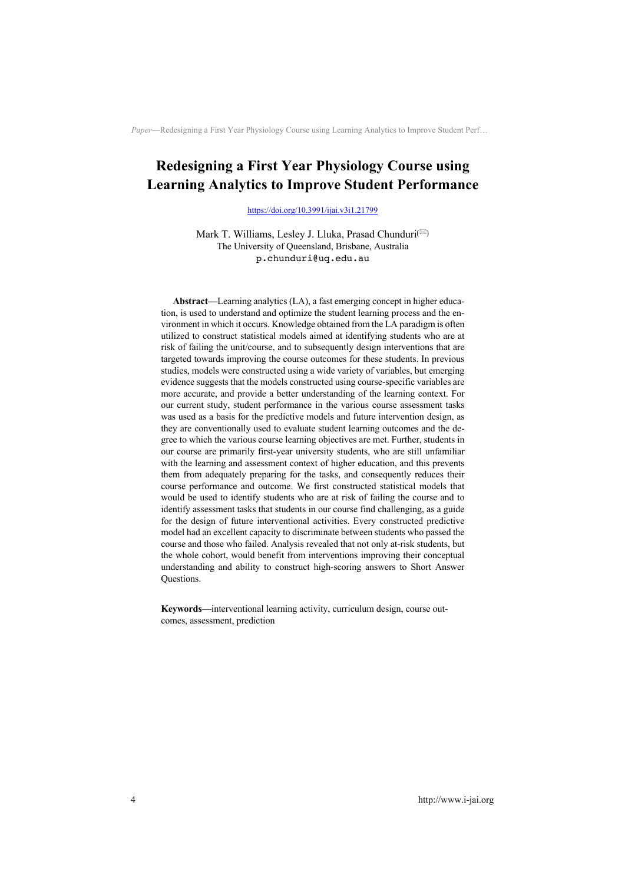# **Redesigning a First Year Physiology Course using Learning Analytics to Improve Student Performance**

https://doi.org/10.3991/ijai.v3i1.21799

Mark T. Williams, Lesley J. Lluka, Prasad Chunduri<sup>(⊠)</sup> The University of Queensland, Brisbane, Australia p.chunduri@uq.edu.au

**Abstract—**Learning analytics (LA), a fast emerging concept in higher education, is used to understand and optimize the student learning process and the environment in which it occurs. Knowledge obtained from the LA paradigm is often utilized to construct statistical models aimed at identifying students who are at risk of failing the unit/course, and to subsequently design interventions that are targeted towards improving the course outcomes for these students. In previous studies, models were constructed using a wide variety of variables, but emerging evidence suggests that the models constructed using course-specific variables are more accurate, and provide a better understanding of the learning context. For our current study, student performance in the various course assessment tasks was used as a basis for the predictive models and future intervention design, as they are conventionally used to evaluate student learning outcomes and the degree to which the various course learning objectives are met. Further, students in our course are primarily first-year university students, who are still unfamiliar with the learning and assessment context of higher education, and this prevents them from adequately preparing for the tasks, and consequently reduces their course performance and outcome. We first constructed statistical models that would be used to identify students who are at risk of failing the course and to identify assessment tasks that students in our course find challenging, as a guide for the design of future interventional activities. Every constructed predictive model had an excellent capacity to discriminate between students who passed the course and those who failed. Analysis revealed that not only at-risk students, but the whole cohort, would benefit from interventions improving their conceptual understanding and ability to construct high-scoring answers to Short Answer Questions.

**Keywords—**interventional learning activity, curriculum design, course outcomes, assessment, prediction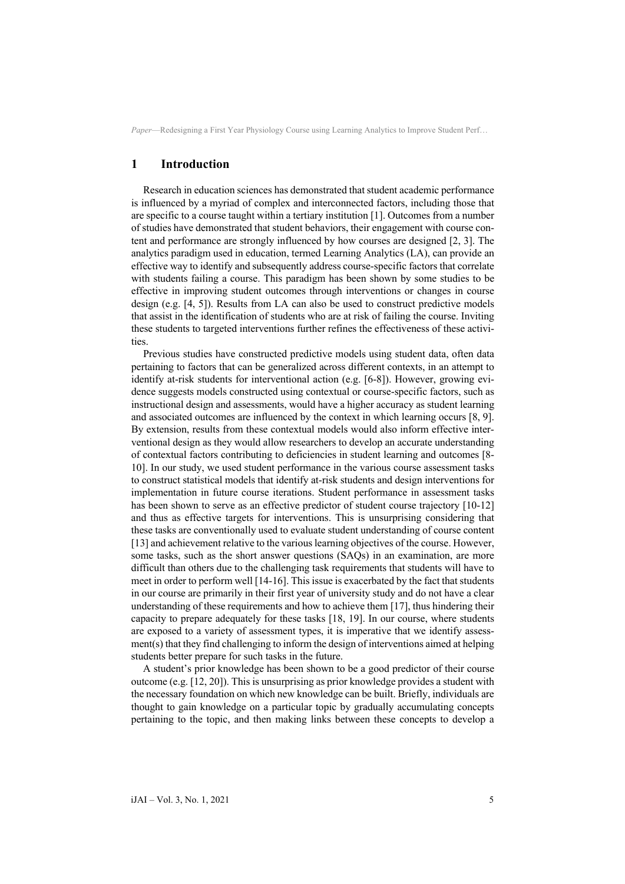## **1 Introduction**

Research in education sciences has demonstrated that student academic performance is influenced by a myriad of complex and interconnected factors, including those that are specific to a course taught within a tertiary institution [1]. Outcomes from a number of studies have demonstrated that student behaviors, their engagement with course content and performance are strongly influenced by how courses are designed [2, 3]. The analytics paradigm used in education, termed Learning Analytics (LA), can provide an effective way to identify and subsequently address course-specific factors that correlate with students failing a course. This paradigm has been shown by some studies to be effective in improving student outcomes through interventions or changes in course design (e.g. [4, 5]). Results from LA can also be used to construct predictive models that assist in the identification of students who are at risk of failing the course. Inviting these students to targeted interventions further refines the effectiveness of these activities.

Previous studies have constructed predictive models using student data, often data pertaining to factors that can be generalized across different contexts, in an attempt to identify at-risk students for interventional action (e.g. [6-8]). However, growing evidence suggests models constructed using contextual or course-specific factors, such as instructional design and assessments, would have a higher accuracy as student learning and associated outcomes are influenced by the context in which learning occurs [8, 9]. By extension, results from these contextual models would also inform effective interventional design as they would allow researchers to develop an accurate understanding of contextual factors contributing to deficiencies in student learning and outcomes [8- 10]. In our study, we used student performance in the various course assessment tasks to construct statistical models that identify at-risk students and design interventions for implementation in future course iterations. Student performance in assessment tasks has been shown to serve as an effective predictor of student course trajectory [10-12] and thus as effective targets for interventions. This is unsurprising considering that these tasks are conventionally used to evaluate student understanding of course content [13] and achievement relative to the various learning objectives of the course. However, some tasks, such as the short answer questions (SAQs) in an examination, are more difficult than others due to the challenging task requirements that students will have to meet in order to perform well [14-16]. This issue is exacerbated by the fact that students in our course are primarily in their first year of university study and do not have a clear understanding of these requirements and how to achieve them [17], thus hindering their capacity to prepare adequately for these tasks [18, 19]. In our course, where students are exposed to a variety of assessment types, it is imperative that we identify assessment(s) that they find challenging to inform the design of interventions aimed at helping students better prepare for such tasks in the future.

A student's prior knowledge has been shown to be a good predictor of their course outcome (e.g. [12, 20]). This is unsurprising as prior knowledge provides a student with the necessary foundation on which new knowledge can be built. Briefly, individuals are thought to gain knowledge on a particular topic by gradually accumulating concepts pertaining to the topic, and then making links between these concepts to develop a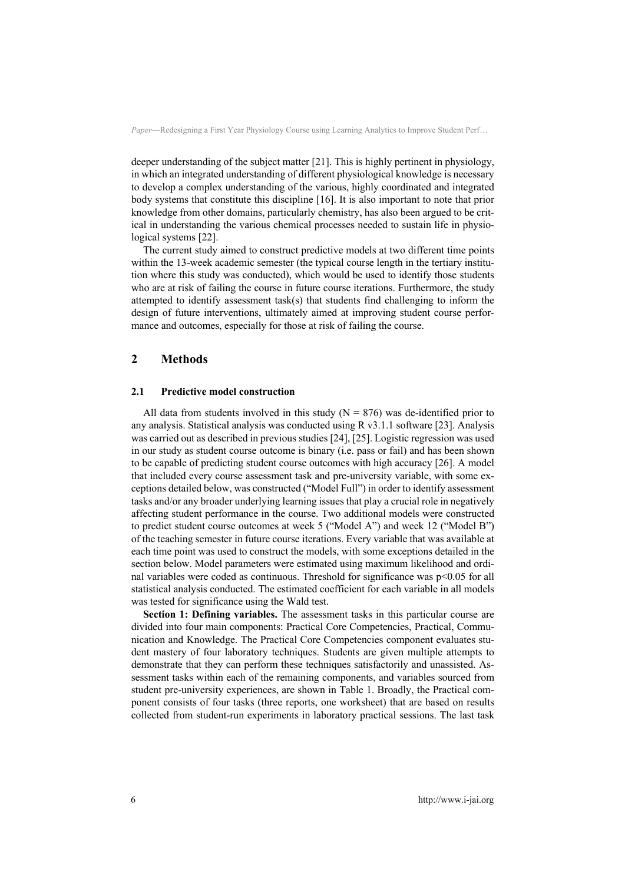deeper understanding of the subject matter [21]. This is highly pertinent in physiology, in which an integrated understanding of different physiological knowledge is necessary to develop a complex understanding of the various, highly coordinated and integrated body systems that constitute this discipline [16]. It is also important to note that prior knowledge from other domains, particularly chemistry, has also been argued to be critical in understanding the various chemical processes needed to sustain life in physiological systems [22].

The current study aimed to construct predictive models at two different time points within the 13-week academic semester (the typical course length in the tertiary institution where this study was conducted), which would be used to identify those students who are at risk of failing the course in future course iterations. Furthermore, the study attempted to identify assessment task(s) that students find challenging to inform the design of future interventions, ultimately aimed at improving student course performance and outcomes, especially for those at risk of failing the course.

## **2 Methods**

#### **2.1 Predictive model construction**

All data from students involved in this study  $(N = 876)$  was de-identified prior to any analysis. Statistical analysis was conducted using R v3.1.1 software [23]. Analysis was carried out as described in previous studies [24], [25]. Logistic regression was used in our study as student course outcome is binary (i.e. pass or fail) and has been shown to be capable of predicting student course outcomes with high accuracy [26]. A model that included every course assessment task and pre-university variable, with some exceptions detailed below, was constructed ("Model Full") in order to identify assessment tasks and/or any broader underlying learning issues that play a crucial role in negatively affecting student performance in the course. Two additional models were constructed to predict student course outcomes at week 5 ("Model A") and week 12 ("Model B") of the teaching semester in future course iterations. Every variable that was available at each time point was used to construct the models, with some exceptions detailed in the section below. Model parameters were estimated using maximum likelihood and ordinal variables were coded as continuous. Threshold for significance was p<0.05 for all statistical analysis conducted. The estimated coefficient for each variable in all models was tested for significance using the Wald test.

**Section 1: Defining variables.** The assessment tasks in this particular course are divided into four main components: Practical Core Competencies, Practical, Communication and Knowledge. The Practical Core Competencies component evaluates student mastery of four laboratory techniques. Students are given multiple attempts to demonstrate that they can perform these techniques satisfactorily and unassisted. Assessment tasks within each of the remaining components, and variables sourced from student pre-university experiences, are shown in Table 1. Broadly, the Practical component consists of four tasks (three reports, one worksheet) that are based on results collected from student-run experiments in laboratory practical sessions. The last task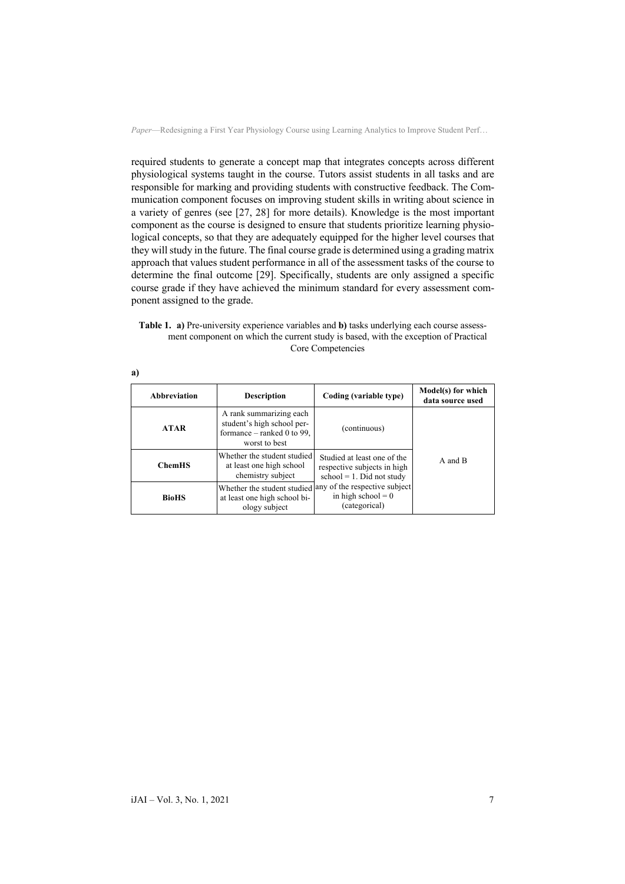required students to generate a concept map that integrates concepts across different physiological systems taught in the course. Tutors assist students in all tasks and are responsible for marking and providing students with constructive feedback. The Communication component focuses on improving student skills in writing about science in a variety of genres (see [27, 28] for more details). Knowledge is the most important component as the course is designed to ensure that students prioritize learning physiological concepts, so that they are adequately equipped for the higher level courses that they will study in the future. The final course grade is determined using a grading matrix approach that values student performance in all of the assessment tasks of the course to determine the final outcome [29]. Specifically, students are only assigned a specific course grade if they have achieved the minimum standard for every assessment component assigned to the grade.

**Table 1. a)** Pre-university experience variables and **b)** tasks underlying each course assessment component on which the current study is based, with the exception of Practical Core Competencies

| Abbreviation  | <b>Description</b>                                                                                     | Coding (variable type)                                                                             | Model(s) for which<br>data source used |  |
|---------------|--------------------------------------------------------------------------------------------------------|----------------------------------------------------------------------------------------------------|----------------------------------------|--|
| <b>ATAR</b>   | A rank summarizing each<br>student's high school per-<br>formance $-$ ranked 0 to 99,<br>worst to best | (continuous)                                                                                       |                                        |  |
| <b>ChemHS</b> | Whether the student studied<br>at least one high school<br>chemistry subject                           | Studied at least one of the<br>respective subjects in high<br>$school = 1$ . Did not study         | A and B                                |  |
| <b>BioHS</b>  | at least one high school bi-<br>ology subject                                                          | Whether the student studied any of the respective subject<br>in high school = $0$<br>(categorical) |                                        |  |

| I<br>×<br>٦ |  |
|-------------|--|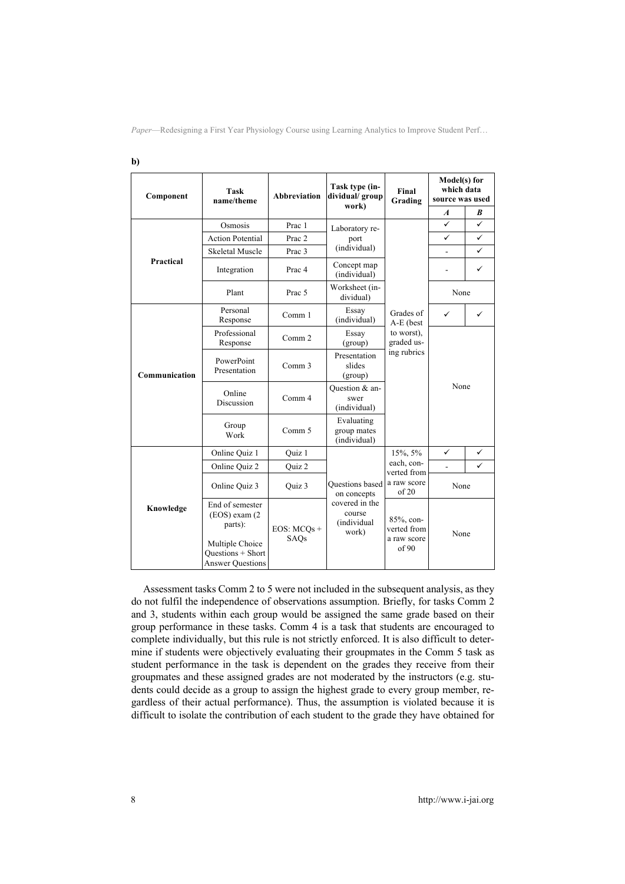| Component     | <b>Task</b><br>name/theme                                              | <b>Abbreviation</b> | Task type (in-<br>dividual/group                 | Final<br>Grading                                   | Model(s) for<br>which data<br>source was used |                  |
|---------------|------------------------------------------------------------------------|---------------------|--------------------------------------------------|----------------------------------------------------|-----------------------------------------------|------------------|
|               |                                                                        |                     | work)                                            |                                                    | $\boldsymbol{A}$                              | $\boldsymbol{B}$ |
|               | Osmosis                                                                | Prac 1              | Laboratory re-                                   |                                                    | ✓                                             | ✓                |
|               | <b>Action Potential</b>                                                | Prac 2              | port                                             |                                                    | ✓                                             | ✓                |
|               | <b>Skeletal Muscle</b>                                                 | Prac 3              | (individual)                                     |                                                    |                                               | ✓                |
| Practical     | Integration                                                            | Prac <sub>4</sub>   | Concept map<br>(individual)                      | Grades of<br>A-E (best<br>to worst),<br>graded us- | ÷.                                            | ✓                |
|               | Plant                                                                  | Prac 5              | Worksheet (in-<br>dividual)                      |                                                    | None                                          |                  |
|               | Personal<br>Response                                                   | Comm 1              | Essay<br>(individual)                            |                                                    | ✓                                             | ✓                |
|               | Professional<br>Response                                               | Comm 2              | Essay<br>(group)                                 |                                                    | None                                          |                  |
| Communication | PowerPoint<br>Presentation                                             | Comm <sub>3</sub>   | Presentation<br>slides<br>(group)                | ing rubrics                                        |                                               |                  |
|               | Online<br>Discussion                                                   | Comm 4              | Question & an-<br>swer<br>(individual)           |                                                    |                                               |                  |
|               | Group<br>Work                                                          | Comm 5              | Evaluating<br>group mates<br>(individual)        |                                                    |                                               |                  |
|               | Online Quiz 1                                                          | Quiz 1              |                                                  | 15%, 5%                                            | ✓                                             | ✓                |
|               | Online Quiz 2                                                          | Quiz 2              |                                                  | each, con-<br>verted from                          | $\overline{a}$                                | ✓                |
|               | Online Quiz 3                                                          | Ouiz 3              | <b>Ouestions</b> based<br>on concepts            | a raw score<br>of 20                               | None                                          |                  |
| Knowledge     | End of semester<br>(EOS) exam (2<br>parts):                            | $EOS: MCOs +$       | covered in the<br>course<br>(individual<br>work) | 85%, con-<br>verted from                           | None                                          |                  |
|               | Multiple Choice<br><b>Ouestions + Short</b><br><b>Answer Questions</b> | SAQs                |                                                  | a raw score<br>of 90                               |                                               |                  |

Assessment tasks Comm 2 to 5 were not included in the subsequent analysis, as they do not fulfil the independence of observations assumption. Briefly, for tasks Comm 2 and 3, students within each group would be assigned the same grade based on their group performance in these tasks. Comm 4 is a task that students are encouraged to complete individually, but this rule is not strictly enforced. It is also difficult to determine if students were objectively evaluating their groupmates in the Comm 5 task as student performance in the task is dependent on the grades they receive from their groupmates and these assigned grades are not moderated by the instructors (e.g. students could decide as a group to assign the highest grade to every group member, regardless of their actual performance). Thus, the assumption is violated because it is difficult to isolate the contribution of each student to the grade they have obtained for

**b)**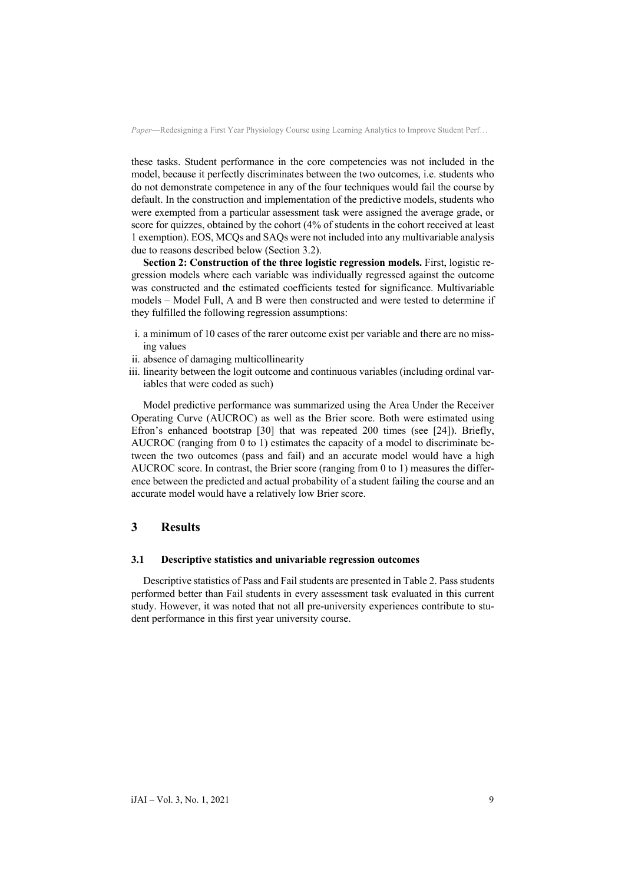these tasks. Student performance in the core competencies was not included in the model, because it perfectly discriminates between the two outcomes, i.e. students who do not demonstrate competence in any of the four techniques would fail the course by default. In the construction and implementation of the predictive models, students who were exempted from a particular assessment task were assigned the average grade, or score for quizzes, obtained by the cohort (4% of students in the cohort received at least 1 exemption). EOS, MCQs and SAQs were not included into any multivariable analysis due to reasons described below (Section 3.2).

**Section 2: Construction of the three logistic regression models.** First, logistic regression models where each variable was individually regressed against the outcome was constructed and the estimated coefficients tested for significance. Multivariable models – Model Full, A and B were then constructed and were tested to determine if they fulfilled the following regression assumptions:

- i. a minimum of 10 cases of the rarer outcome exist per variable and there are no missing values
- ii. absence of damaging multicollinearity
- iii. linearity between the logit outcome and continuous variables (including ordinal variables that were coded as such)

Model predictive performance was summarized using the Area Under the Receiver Operating Curve (AUCROC) as well as the Brier score. Both were estimated using Efron's enhanced bootstrap [30] that was repeated 200 times (see [24]). Briefly, AUCROC (ranging from 0 to 1) estimates the capacity of a model to discriminate between the two outcomes (pass and fail) and an accurate model would have a high AUCROC score. In contrast, the Brier score (ranging from 0 to 1) measures the difference between the predicted and actual probability of a student failing the course and an accurate model would have a relatively low Brier score.

## **3 Results**

### **3.1 Descriptive statistics and univariable regression outcomes**

Descriptive statistics of Pass and Fail students are presented in Table 2. Pass students performed better than Fail students in every assessment task evaluated in this current study. However, it was noted that not all pre-university experiences contribute to student performance in this first year university course.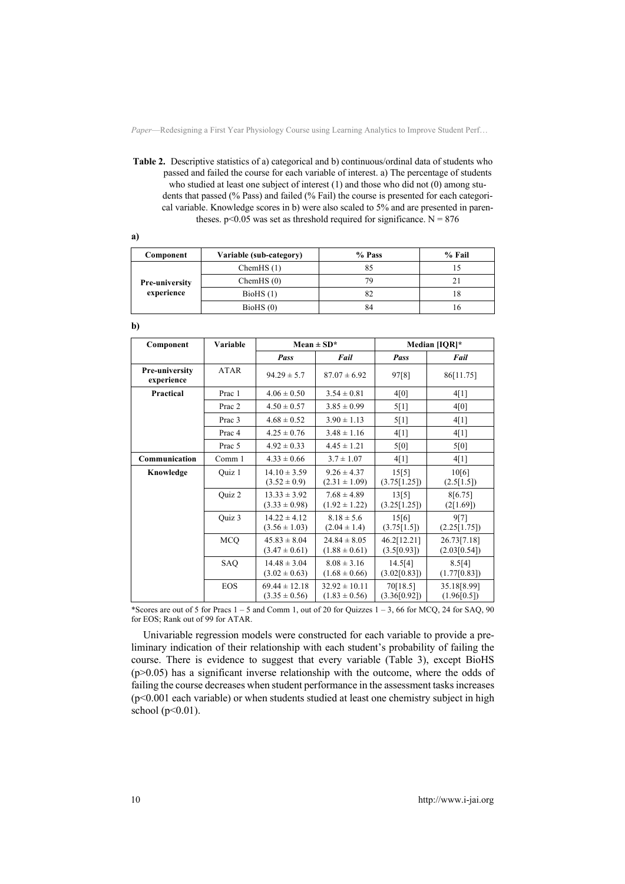**Table 2.** Descriptive statistics of a) categorical and b) continuous/ordinal data of students who passed and failed the course for each variable of interest. a) The percentage of students who studied at least one subject of interest (1) and those who did not (0) among students that passed (% Pass) and failed (% Fail) the course is presented for each categorical variable. Knowledge scores in b) were also scaled to 5% and are presented in parentheses.  $p<0.05$  was set as threshold required for significance. N = 876

**a)**

| Component                           | Variable (sub-category) | % Pass | % Fail |
|-------------------------------------|-------------------------|--------|--------|
| <b>Pre-university</b><br>experience | Chem $HS(1)$            | 85     |        |
|                                     | Chem $HS(0)$            | 79     |        |
|                                     | BioHS(1)                | 82     | 18     |
|                                     | BioHS(0)                | 84     |        |

**b)**

| Component                           | Variable          | Mean $\pm$ SD <sup>*</sup>             |                                        |                            | Median [IQR]*               |
|-------------------------------------|-------------------|----------------------------------------|----------------------------------------|----------------------------|-----------------------------|
|                                     |                   | Pass                                   | Fail                                   | Pass                       | Fail                        |
| <b>Pre-university</b><br>experience | ATAR              | $94.29 \pm 5.7$                        | $87.07 \pm 6.92$                       | 97[8]                      | 86[11.75]                   |
| Practical                           | Prac 1            | $4.06 \pm 0.50$                        | $3.54 \pm 0.81$                        | 4[0]                       | 4[1]                        |
|                                     | Prac 2            | $4.50 \pm 0.57$                        | $3.85 \pm 0.99$                        | 5[1]                       | 4[0]                        |
|                                     | Prac 3            | $4.68 \pm 0.52$                        | $3.90 \pm 1.13$                        | 5[1]                       | 4[1]                        |
|                                     | Prac <sub>4</sub> | $4.25 \pm 0.76$                        | $3.48 \pm 1.16$                        | 4[1]                       | 4[1]                        |
|                                     | Prac 5            | $4.92 \pm 0.33$                        | $4.45 \pm 1.21$                        | 5[0]                       | 5[0]                        |
| Communication                       | Comm 1            | $4.33 \pm 0.66$                        | $3.7 \pm 1.07$                         | 4[1]                       | 4[1]                        |
| Knowledge                           | Quiz 1            | $14.10 \pm 3.59$<br>$(3.52 \pm 0.9)$   | $9.26 \pm 4.37$<br>$(2.31 \pm 1.09)$   | 15[5]<br>(3.75[1.25])      | 10[6]<br>(2.5[1.5])         |
|                                     | Quiz 2            | $13.33 \pm 3.92$<br>$(3.33 \pm 0.98)$  | $7.68 \pm 4.89$<br>$(1.92 \pm 1.22)$   | 13[5]<br>(3.25[1.25])      | 8[6.75]<br>(2[1.69])        |
|                                     | Ouiz 3            | $14.22 \pm 4.12$<br>$(3.56 \pm 1.03)$  | $8.18 \pm 5.6$<br>$(2.04 \pm 1.4)$     | 15[6]<br>(3.75[1.5])       | 9[7]<br>(2.25[1.75])        |
|                                     | <b>MCQ</b>        | $45.83 \pm 8.04$<br>$(3.47 \pm 0.61)$  | $24.84 \pm 8.05$<br>$(1.88 \pm 0.61)$  | 46.2[12.21]<br>(3.5[0.93]) | 26.73[7.18]<br>(2.03[0.54]) |
|                                     | SAQ               | $14.48 \pm 3.04$<br>$(3.02 \pm 0.63)$  | $8.08 \pm 3.16$<br>$(1.68 \pm 0.66)$   | 14.5[4]<br>(3.02[0.83])    | 8.5[4]<br>(1.77[0.83])      |
|                                     | <b>EOS</b>        | $69.44 \pm 12.18$<br>$(3.35 \pm 0.56)$ | $32.92 \pm 10.11$<br>$(1.83 \pm 0.56)$ | 70[18.5]<br>(3.36[0.92])   | 35.18[8.99]<br>(1.96[0.5])  |

\*Scores are out of 5 for Pracs  $1 - 5$  and Comm 1, out of 20 for Quizzes  $1 - 3$ , 66 for MCQ, 24 for SAQ, 90 for EOS; Rank out of 99 for ATAR.

Univariable regression models were constructed for each variable to provide a preliminary indication of their relationship with each student's probability of failing the course. There is evidence to suggest that every variable (Table 3), except BioHS  $(p>0.05)$  has a significant inverse relationship with the outcome, where the odds of failing the course decreases when student performance in the assessment tasks increases (p<0.001 each variable) or when students studied at least one chemistry subject in high school ( $p<0.01$ ).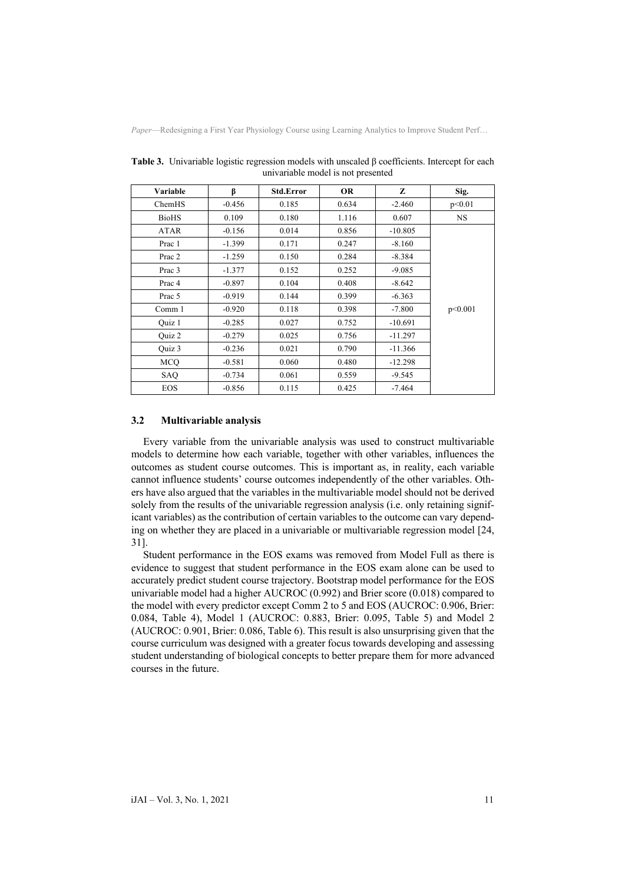| Variable          | ß        | <b>Std.Error</b> | <b>OR</b> | Z         | Sig.      |
|-------------------|----------|------------------|-----------|-----------|-----------|
| ChemHS            | $-0.456$ | 0.185            | 0.634     | $-2.460$  | p<0.01    |
| <b>BioHS</b>      | 0.109    | 0.180            | 1.116     | 0.607     | <b>NS</b> |
| <b>ATAR</b>       | $-0.156$ | 0.014            | 0.856     | $-10.805$ |           |
| Prac 1            | $-1.399$ | 0.171            | 0.247     | $-8.160$  |           |
| Prac 2            | $-1.259$ | 0.150            | 0.284     | $-8.384$  |           |
| Prac 3            | $-1.377$ | 0.152            | 0.252     | $-9.085$  |           |
| Prac <sub>4</sub> | $-0.897$ | 0.104            | 0.408     | $-8.642$  |           |
| Prac 5            | $-0.919$ | 0.144            | 0.399     | $-6.363$  |           |
| Comm 1            | $-0.920$ | 0.118            | 0.398     | $-7.800$  | p<0.001   |
| Ouiz 1            | $-0.285$ | 0.027            | 0.752     | $-10.691$ |           |
| Ouiz 2            | $-0.279$ | 0.025            | 0.756     | $-11.297$ |           |
| Ouiz 3            | $-0.236$ | 0.021            | 0.790     | $-11.366$ |           |
| MCO               | $-0.581$ | 0.060            | 0.480     | $-12.298$ |           |
| SAQ               | $-0.734$ | 0.061            | 0.559     | $-9.545$  |           |
| <b>EOS</b>        | $-0.856$ | 0.115            | 0.425     | $-7.464$  |           |

**Table 3.** Univariable logistic regression models with unscaled β coefficients. Intercept for each univariable model is not presented

### **3.2 Multivariable analysis**

Every variable from the univariable analysis was used to construct multivariable models to determine how each variable, together with other variables, influences the outcomes as student course outcomes. This is important as, in reality, each variable cannot influence students' course outcomes independently of the other variables. Others have also argued that the variables in the multivariable model should not be derived solely from the results of the univariable regression analysis (i.e. only retaining significant variables) as the contribution of certain variables to the outcome can vary depending on whether they are placed in a univariable or multivariable regression model [24, 31].

Student performance in the EOS exams was removed from Model Full as there is evidence to suggest that student performance in the EOS exam alone can be used to accurately predict student course trajectory. Bootstrap model performance for the EOS univariable model had a higher AUCROC (0.992) and Brier score (0.018) compared to the model with every predictor except Comm 2 to 5 and EOS (AUCROC: 0.906, Brier: 0.084, Table 4), Model 1 (AUCROC: 0.883, Brier: 0.095, Table 5) and Model 2 (AUCROC: 0.901, Brier: 0.086, Table 6). This result is also unsurprising given that the course curriculum was designed with a greater focus towards developing and assessing student understanding of biological concepts to better prepare them for more advanced courses in the future.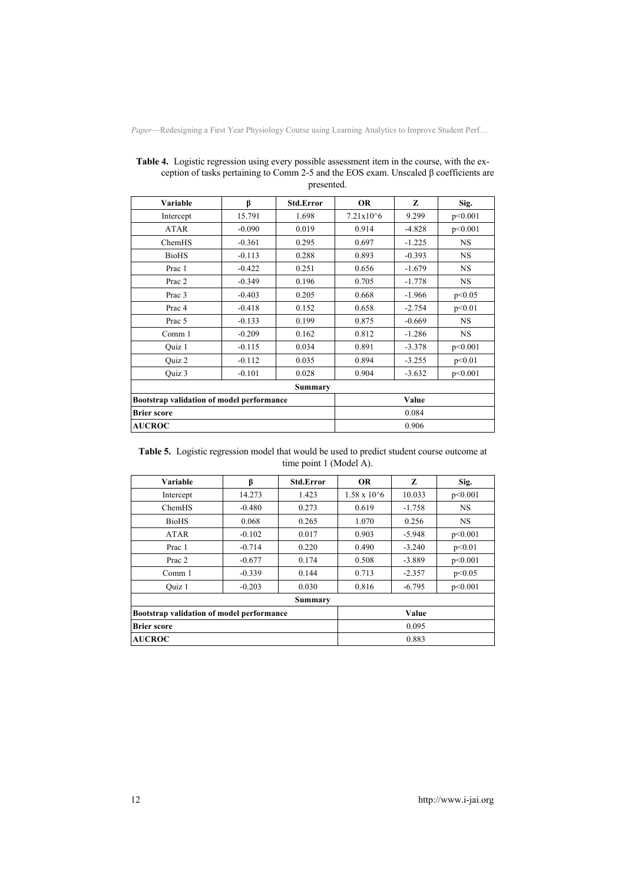| Variable                                  | β        | Std.Error | <b>OR</b>     | Z        | Sig.      |  |  |  |  |
|-------------------------------------------|----------|-----------|---------------|----------|-----------|--|--|--|--|
| Intercept                                 | 15.791   | 1.698     | $7.21x10^{6}$ | 9.299    | p<0.001   |  |  |  |  |
| <b>ATAR</b>                               | $-0.090$ | 0.019     | 0.914         | $-4.828$ | p<0.001   |  |  |  |  |
| ChemHS                                    | $-0.361$ | 0.295     | 0.697         | $-1.225$ | <b>NS</b> |  |  |  |  |
| <b>BioHS</b>                              | $-0.113$ | 0.288     | 0.893         | $-0.393$ | <b>NS</b> |  |  |  |  |
| Prac 1                                    | $-0.422$ | 0.251     | 0.656         | $-1.679$ | <b>NS</b> |  |  |  |  |
| Prac 2                                    | $-0.349$ | 0.196     | 0.705         | $-1.778$ | <b>NS</b> |  |  |  |  |
| Prac 3                                    | $-0.403$ | 0.205     | 0.668         | $-1.966$ | p<0.05    |  |  |  |  |
| Prac <sub>4</sub>                         | $-0.418$ | 0.152     | 0.658         | $-2.754$ | p<0.01    |  |  |  |  |
| Prac 5                                    | $-0.133$ | 0.199     | 0.875         | $-0.669$ | <b>NS</b> |  |  |  |  |
| Comm 1                                    | $-0.209$ | 0.162     | 0.812         | $-1.286$ | <b>NS</b> |  |  |  |  |
| Quiz 1                                    | $-0.115$ | 0.034     | 0.891         | $-3.378$ | p<0.001   |  |  |  |  |
| Quiz 2                                    | $-0.112$ | 0.035     | 0.894         | $-3.255$ | p<0.01    |  |  |  |  |
| Quiz 3                                    | $-0.101$ | 0.028     | 0.904         | $-3.632$ | p<0.001   |  |  |  |  |
|                                           |          | Summary   |               |          |           |  |  |  |  |
| Bootstrap validation of model performance |          |           | Value         |          |           |  |  |  |  |
| <b>Brier score</b>                        |          |           | 0.084         |          |           |  |  |  |  |
| <b>AUCROC</b>                             |          |           | 0.906         |          |           |  |  |  |  |

**Table 4.** Logistic regression using every possible assessment item in the course, with the exception of tasks pertaining to Comm 2-5 and the EOS exam. Unscaled β coefficients are presented.

**Table 5.** Logistic regression model that would be used to predict student course outcome at time point 1 (Model A).

| Variable                                  | β        | <b>Std.Error</b> | <b>OR</b>            | Z        | Sig.      |
|-------------------------------------------|----------|------------------|----------------------|----------|-----------|
| Intercept                                 | 14.273   | 1.423            | $1.58 \times 10^{6}$ | 10.033   | p<0.001   |
| ChemHS                                    | $-0.480$ | 0.273            | 0.619                | $-1.758$ | <b>NS</b> |
| <b>BioHS</b>                              | 0.068    | 0.265            | 1.070                | 0.256    | NS.       |
| ATAR                                      | $-0.102$ | 0.017            | 0.903                | $-5.948$ | p<0.001   |
| Prac 1                                    | $-0.714$ | 0.220            | 0.490                | $-3.240$ | p<0.01    |
| Prac 2                                    | $-0.677$ | 0.174            | 0.508                | $-3.889$ | p<0.001   |
| Comm 1                                    | $-0.339$ | 0.144            | 0.713                | $-2.357$ | p<0.05    |
| Ouiz 1                                    | $-0.203$ | 0.030            | 0.816                | $-6.795$ | p<0.001   |
|                                           |          | Summary          |                      |          |           |
| Bootstrap validation of model performance |          |                  |                      | Value    |           |
| <b>Brier score</b>                        |          |                  |                      | 0.095    |           |
| <b>AUCROC</b>                             |          |                  |                      | 0.883    |           |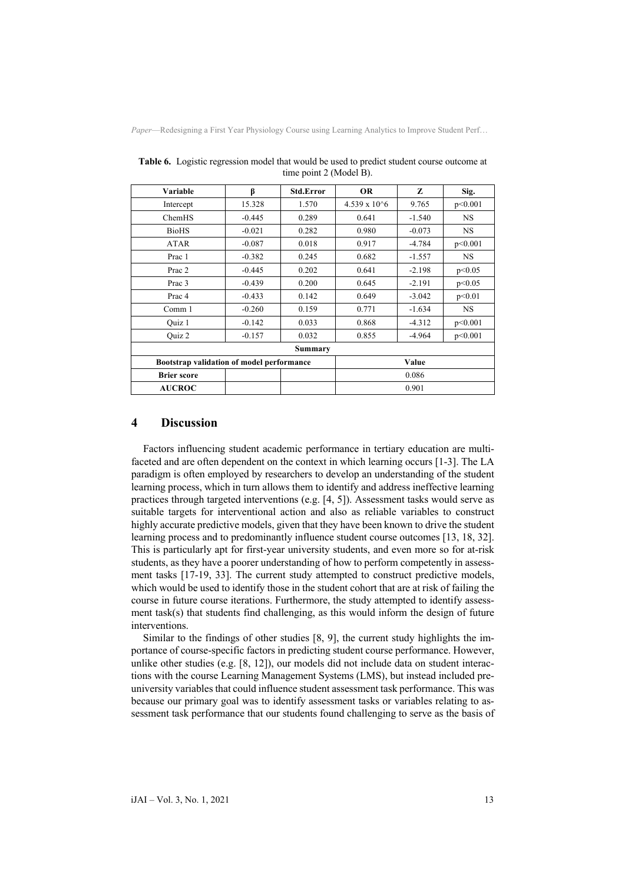| Variable           | β                                         | Std.Error | <b>OR</b>             | Z        | Sig.      |  |
|--------------------|-------------------------------------------|-----------|-----------------------|----------|-----------|--|
| Intercept          | 15.328                                    | 1.570     | $4.539 \times 10^{6}$ | 9.765    | p<0.001   |  |
| ChemHS             | $-0.445$                                  | 0.289     | 0.641                 | $-1.540$ | <b>NS</b> |  |
| <b>BioHS</b>       | $-0.021$                                  | 0.282     | 0.980                 | $-0.073$ | NS.       |  |
| <b>ATAR</b>        | $-0.087$                                  | 0.018     | 0.917                 | $-4.784$ | p<0.001   |  |
| Prac 1             | $-0.382$                                  | 0.245     | 0.682                 | $-1.557$ | <b>NS</b> |  |
| Prac 2             | $-0.445$                                  | 0.202     | 0.641                 | $-2.198$ | p<0.05    |  |
| Prac 3             | $-0.439$                                  | 0.200     | 0.645                 | $-2.191$ | p<0.05    |  |
| Prac 4             | $-0.433$                                  | 0.142     | 0.649                 | $-3.042$ | p<0.01    |  |
| Comm 1             | $-0.260$                                  | 0.159     | 0.771                 | $-1.634$ | NS.       |  |
| Quiz 1             | $-0.142$                                  | 0.033     | 0.868                 | $-4.312$ | p<0.001   |  |
| Quiz 2             | $-0.157$                                  | 0.032     | 0.855                 | $-4.964$ | p<0.001   |  |
|                    |                                           | Summary   |                       |          |           |  |
|                    | Bootstrap validation of model performance |           |                       | Value    |           |  |
| <b>Brier score</b> |                                           |           | 0.086                 |          |           |  |
| <b>AUCROC</b>      |                                           |           | 0.901                 |          |           |  |

**Table 6.** Logistic regression model that would be used to predict student course outcome at time point 2 (Model B).

## **4 Discussion**

Factors influencing student academic performance in tertiary education are multifaceted and are often dependent on the context in which learning occurs [1-3]. The LA paradigm is often employed by researchers to develop an understanding of the student learning process, which in turn allows them to identify and address ineffective learning practices through targeted interventions (e.g. [4, 5]). Assessment tasks would serve as suitable targets for interventional action and also as reliable variables to construct highly accurate predictive models, given that they have been known to drive the student learning process and to predominantly influence student course outcomes [13, 18, 32]. This is particularly apt for first-year university students, and even more so for at-risk students, as they have a poorer understanding of how to perform competently in assessment tasks [17-19, 33]. The current study attempted to construct predictive models, which would be used to identify those in the student cohort that are at risk of failing the course in future course iterations. Furthermore, the study attempted to identify assessment task(s) that students find challenging, as this would inform the design of future interventions.

Similar to the findings of other studies [8, 9], the current study highlights the importance of course-specific factors in predicting student course performance. However, unlike other studies (e.g. [8, 12]), our models did not include data on student interactions with the course Learning Management Systems (LMS), but instead included preuniversity variables that could influence student assessment task performance. This was because our primary goal was to identify assessment tasks or variables relating to assessment task performance that our students found challenging to serve as the basis of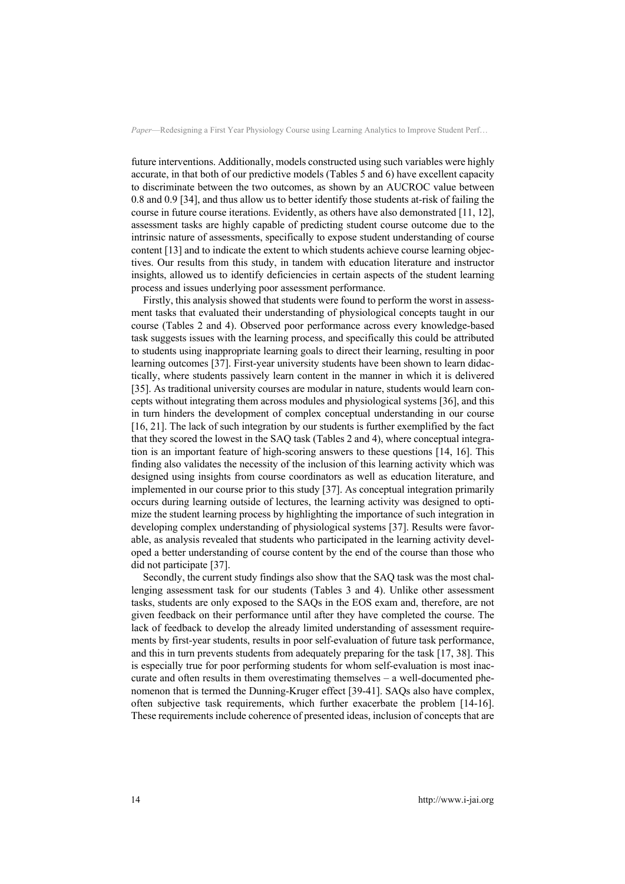future interventions. Additionally, models constructed using such variables were highly accurate, in that both of our predictive models (Tables 5 and 6) have excellent capacity to discriminate between the two outcomes, as shown by an AUCROC value between 0.8 and 0.9 [34], and thus allow us to better identify those students at-risk of failing the course in future course iterations. Evidently, as others have also demonstrated [11, 12], assessment tasks are highly capable of predicting student course outcome due to the intrinsic nature of assessments, specifically to expose student understanding of course content [13] and to indicate the extent to which students achieve course learning objectives. Our results from this study, in tandem with education literature and instructor insights, allowed us to identify deficiencies in certain aspects of the student learning process and issues underlying poor assessment performance.

Firstly, this analysis showed that students were found to perform the worst in assessment tasks that evaluated their understanding of physiological concepts taught in our course (Tables 2 and 4). Observed poor performance across every knowledge-based task suggests issues with the learning process, and specifically this could be attributed to students using inappropriate learning goals to direct their learning, resulting in poor learning outcomes [37]. First-year university students have been shown to learn didactically, where students passively learn content in the manner in which it is delivered [35]. As traditional university courses are modular in nature, students would learn concepts without integrating them across modules and physiological systems [36], and this in turn hinders the development of complex conceptual understanding in our course [16, 21]. The lack of such integration by our students is further exemplified by the fact that they scored the lowest in the SAQ task (Tables 2 and 4), where conceptual integration is an important feature of high-scoring answers to these questions [14, 16]. This finding also validates the necessity of the inclusion of this learning activity which was designed using insights from course coordinators as well as education literature, and implemented in our course prior to this study [37]. As conceptual integration primarily occurs during learning outside of lectures, the learning activity was designed to optimize the student learning process by highlighting the importance of such integration in developing complex understanding of physiological systems [37]. Results were favorable, as analysis revealed that students who participated in the learning activity developed a better understanding of course content by the end of the course than those who did not participate [37].

Secondly, the current study findings also show that the SAQ task was the most challenging assessment task for our students (Tables 3 and 4). Unlike other assessment tasks, students are only exposed to the SAQs in the EOS exam and, therefore, are not given feedback on their performance until after they have completed the course. The lack of feedback to develop the already limited understanding of assessment requirements by first-year students, results in poor self-evaluation of future task performance, and this in turn prevents students from adequately preparing for the task [17, 38]. This is especially true for poor performing students for whom self-evaluation is most inaccurate and often results in them overestimating themselves  $-$  a well-documented phenomenon that is termed the Dunning-Kruger effect [39-41]. SAQs also have complex, often subjective task requirements, which further exacerbate the problem [14-16]. These requirements include coherence of presented ideas, inclusion of concepts that are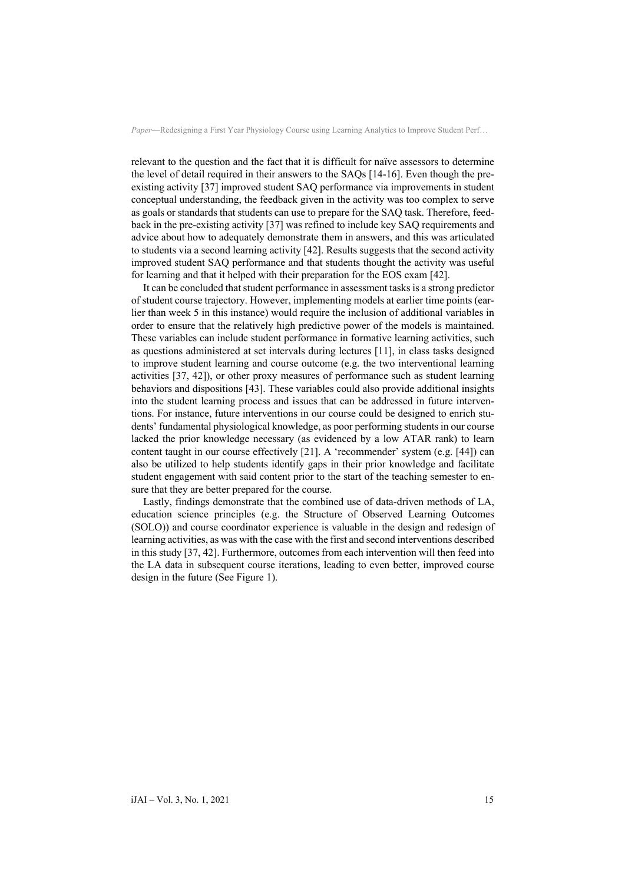relevant to the question and the fact that it is difficult for naïve assessors to determine the level of detail required in their answers to the SAQs [14-16]. Even though the preexisting activity [37] improved student SAQ performance via improvements in student conceptual understanding, the feedback given in the activity was too complex to serve as goals or standards that students can use to prepare for the SAQ task. Therefore, feedback in the pre-existing activity [37] was refined to include key SAQ requirements and advice about how to adequately demonstrate them in answers, and this was articulated to students via a second learning activity [42]. Results suggests that the second activity improved student SAQ performance and that students thought the activity was useful for learning and that it helped with their preparation for the EOS exam [42].

It can be concluded that student performance in assessment tasks is a strong predictor of student course trajectory. However, implementing models at earlier time points (earlier than week 5 in this instance) would require the inclusion of additional variables in order to ensure that the relatively high predictive power of the models is maintained. These variables can include student performance in formative learning activities, such as questions administered at set intervals during lectures [11], in class tasks designed to improve student learning and course outcome (e.g. the two interventional learning activities [37, 42]), or other proxy measures of performance such as student learning behaviors and dispositions [43]. These variables could also provide additional insights into the student learning process and issues that can be addressed in future interventions. For instance, future interventions in our course could be designed to enrich students' fundamental physiological knowledge, as poor performing students in our course lacked the prior knowledge necessary (as evidenced by a low ATAR rank) to learn content taught in our course effectively [21]. A 'recommender' system (e.g. [44]) can also be utilized to help students identify gaps in their prior knowledge and facilitate student engagement with said content prior to the start of the teaching semester to ensure that they are better prepared for the course.

Lastly, findings demonstrate that the combined use of data-driven methods of LA, education science principles (e.g. the Structure of Observed Learning Outcomes (SOLO)) and course coordinator experience is valuable in the design and redesign of learning activities, as was with the case with the first and second interventions described in this study [37, 42]. Furthermore, outcomes from each intervention will then feed into the LA data in subsequent course iterations, leading to even better, improved course design in the future (See Figure 1).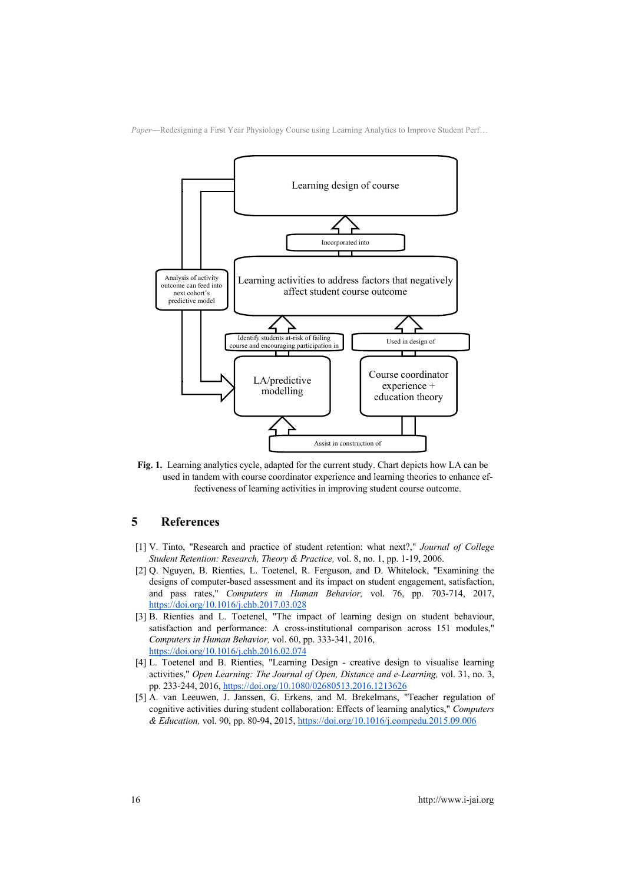

**Fig. 1.** Learning analytics cycle, adapted for the current study. Chart depicts how LA can be used in tandem with course coordinator experience and learning theories to enhance effectiveness of learning activities in improving student course outcome.

## **5 References**

- [1] V. Tinto, "Research and practice of student retention: what next?," *Journal of College Student Retention: Research, Theory & Practice,* vol. 8, no. 1, pp. 1-19, 2006.
- [2] Q. Nguyen, B. Rienties, L. Toetenel, R. Ferguson, and D. Whitelock, "Examining the designs of computer-based assessment and its impact on student engagement, satisfaction, and pass rates," *Computers in Human Behavior,* vol. 76, pp. 703-714, 2017, https://doi.org/10.1016/j.chb.2017.03.028
- [3] B. Rienties and L. Toetenel, "The impact of learning design on student behaviour, satisfaction and performance: A cross-institutional comparison across 151 modules," *Computers in Human Behavior,* vol. 60, pp. 333-341, 2016, https://doi.org/10.1016/j.chb.2016.02.074
- [4] L. Toetenel and B. Rienties, "Learning Design creative design to visualise learning activities," *Open Learning: The Journal of Open, Distance and e-Learning,* vol. 31, no. 3, pp. 233-244, 2016, https://doi.org/10.1080/02680513.2016.1213626
- [5] A. van Leeuwen, J. Janssen, G. Erkens, and M. Brekelmans, "Teacher regulation of cognitive activities during student collaboration: Effects of learning analytics," *Computers & Education,* vol. 90, pp. 80-94, 2015, https://doi.org/10.1016/j.compedu.2015.09.006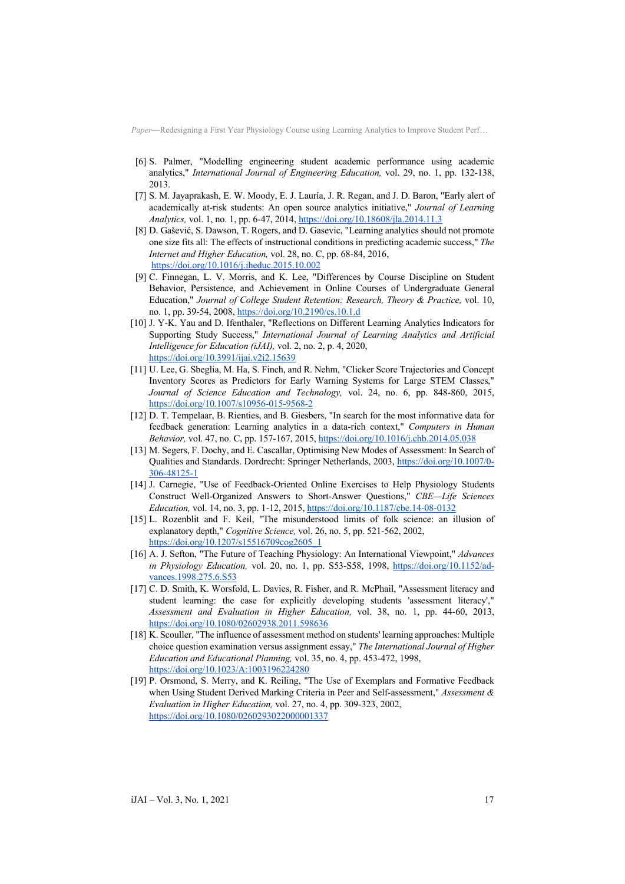- [6] S. Palmer, "Modelling engineering student academic performance using academic analytics," *International Journal of Engineering Education,* vol. 29, no. 1, pp. 132-138, 2013.
- [7] S. M. Jayaprakash, E. W. Moody, E. J. Lauría, J. R. Regan, and J. D. Baron, "Early alert of academically at-risk students: An open source analytics initiative," *Journal of Learning Analytics,* vol. 1, no. 1, pp. 6-47, 2014, https://doi.org/10.18608/jla.2014.11.3
- [8] D. Gašević, S. Dawson, T. Rogers, and D. Gasevic, "Learning analytics should not promote one size fits all: The effects of instructional conditions in predicting academic success," *The Internet and Higher Education,* vol. 28, no. C, pp. 68-84, 2016, https://doi.org/10.1016/j.iheduc.2015.10.002
- [9] C. Finnegan, L. V. Morris, and K. Lee, "Differences by Course Discipline on Student Behavior, Persistence, and Achievement in Online Courses of Undergraduate General Education," *Journal of College Student Retention: Research, Theory & Practice,* vol. 10, no. 1, pp. 39-54, 2008, https://doi.org/10.2190/cs.10.1.d
- [10] J. Y-K. Yau and D. Ifenthaler, "Reflections on Different Learning Analytics Indicators for Supporting Study Success," *International Journal of Learning Analytics and Artificial Intelligence for Education (iJAI),* vol. 2, no. 2, p. 4, 2020, https://doi.org/10.3991/ijai.v2i2.15639
- [11] U. Lee, G. Sbeglia, M. Ha, S. Finch, and R. Nehm, "Clicker Score Trajectories and Concept Inventory Scores as Predictors for Early Warning Systems for Large STEM Classes," *Journal of Science Education and Technology,* vol. 24, no. 6, pp. 848-860, 2015, https://doi.org/10.1007/s10956-015-9568-2
- [12] D. T. Tempelaar, B. Rienties, and B. Giesbers, "In search for the most informative data for feedback generation: Learning analytics in a data-rich context," *Computers in Human Behavior,* vol. 47, no. C, pp. 157-167, 2015, https://doi.org/10.1016/j.chb.2014.05.038
- [13] M. Segers, F. Dochy, and E. Cascallar, Optimising New Modes of Assessment: In Search of Qualities and Standards. Dordrecht: Springer Netherlands, 2003, https://doi.org/10.1007/0- 306-48125-1
- [14] J. Carnegie, "Use of Feedback-Oriented Online Exercises to Help Physiology Students Construct Well-Organized Answers to Short-Answer Questions," *CBE—Life Sciences Education,* vol. 14, no. 3, pp. 1-12, 2015, https://doi.org/10.1187/cbe.14-08-0132
- [15] L. Rozenblit and F. Keil, "The misunderstood limits of folk science: an illusion of explanatory depth," *Cognitive Science,* vol. 26, no. 5, pp. 521-562, 2002, https://doi.org/10.1207/s15516709cog2605\_1
- [16] A. J. Sefton, "The Future of Teaching Physiology: An International Viewpoint," *Advances in Physiology Education,* vol. 20, no. 1, pp. S53-S58, 1998, https://doi.org/10.1152/advances.1998.275.6.S53
- [17] C. D. Smith, K. Worsfold, L. Davies, R. Fisher, and R. McPhail, "Assessment literacy and student learning: the case for explicitly developing students 'assessment literacy'," *Assessment and Evaluation in Higher Education,* vol. 38, no. 1, pp. 44-60, 2013, https://doi.org/10.1080/02602938.2011.598636
- [18] K. Scouller, "The influence of assessment method on students' learning approaches: Multiple choice question examination versus assignment essay," *The International Journal of Higher Education and Educational Planning,* vol. 35, no. 4, pp. 453-472, 1998, https://doi.org/10.1023/A:1003196224280
- [19] P. Orsmond, S. Merry, and K. Reiling, "The Use of Exemplars and Formative Feedback when Using Student Derived Marking Criteria in Peer and Self-assessment," *Assessment & Evaluation in Higher Education,* vol. 27, no. 4, pp. 309-323, 2002, https://doi.org/10.1080/0260293022000001337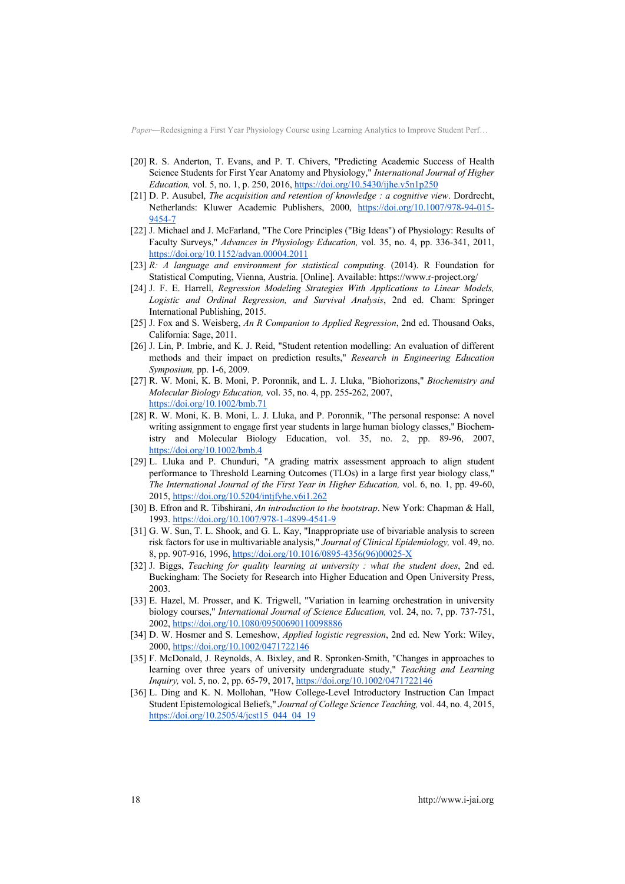- [20] R. S. Anderton, T. Evans, and P. T. Chivers, "Predicting Academic Success of Health Science Students for First Year Anatomy and Physiology," *International Journal of Higher Education, vol.* 5, no. 1, p. 250, 2016, https://doi.org/10.5430/ijhe.v5n1p250
- [21] D. P. Ausubel, *The acquisition and retention of knowledge : a cognitive view*. Dordrecht, Netherlands: Kluwer Academic Publishers, 2000, https://doi.org/10.1007/978-94-015- 9454-7
- [22] J. Michael and J. McFarland, "The Core Principles ("Big Ideas") of Physiology: Results of Faculty Surveys," *Advances in Physiology Education,* vol. 35, no. 4, pp. 336-341, 2011, https://doi.org/10.1152/advan.00004.2011
- [23] *R: A language and environment for statistical computing*. (2014). R Foundation for Statistical Computing, Vienna, Austria. [Online]. Available: https://www.r-project.org/
- [24] J. F. E. Harrell, *Regression Modeling Strategies With Applications to Linear Models, Logistic and Ordinal Regression, and Survival Analysis*, 2nd ed. Cham: Springer International Publishing, 2015.
- [25] J. Fox and S. Weisberg, *An R Companion to Applied Regression*, 2nd ed. Thousand Oaks, California: Sage, 2011.
- [26] J. Lin, P. Imbrie, and K. J. Reid, "Student retention modelling: An evaluation of different methods and their impact on prediction results," *Research in Engineering Education Symposium,* pp. 1-6, 2009.
- [27] R. W. Moni, K. B. Moni, P. Poronnik, and L. J. Lluka, "Biohorizons," *Biochemistry and Molecular Biology Education,* vol. 35, no. 4, pp. 255-262, 2007, https://doi.org/10.1002/bmb.71
- [28] R. W. Moni, K. B. Moni, L. J. Lluka, and P. Poronnik, "The personal response: A novel writing assignment to engage first year students in large human biology classes," Biochemistry and Molecular Biology Education, vol. 35, no. 2, pp. 89-96, 2007, https://doi.org/10.1002/bmb.4
- [29] L. Lluka and P. Chunduri, "A grading matrix assessment approach to align student performance to Threshold Learning Outcomes (TLOs) in a large first year biology class," *The International Journal of the First Year in Higher Education,* vol. 6, no. 1, pp. 49-60, 2015, https://doi.org/10.5204/intjfyhe.v6i1.262
- [30] B. Efron and R. Tibshirani, *An introduction to the bootstrap*. New York: Chapman & Hall, 1993. https://doi.org/10.1007/978-1-4899-4541-9
- [31] G. W. Sun, T. L. Shook, and G. L. Kay, "Inappropriate use of bivariable analysis to screen risk factors for use in multivariable analysis," *Journal of Clinical Epidemiology,* vol. 49, no. 8, pp. 907-916, 1996, https://doi.org/10.1016/0895-4356(96)00025-X
- [32] J. Biggs, *Teaching for quality learning at university : what the student does*, 2nd ed. Buckingham: The Society for Research into Higher Education and Open University Press, 2003.
- [33] E. Hazel, M. Prosser, and K. Trigwell, "Variation in learning orchestration in university biology courses," *International Journal of Science Education,* vol. 24, no. 7, pp. 737-751, 2002, https://doi.org/10.1080/09500690110098886
- [34] D. W. Hosmer and S. Lemeshow, *Applied logistic regression*, 2nd ed. New York: Wiley, 2000, https://doi.org/10.1002/0471722146
- [35] F. McDonald, J. Reynolds, A. Bixley, and R. Spronken-Smith, "Changes in approaches to learning over three years of university undergraduate study," *Teaching and Learning Inquiry,* vol. 5, no. 2, pp. 65-79, 2017, https://doi.org/10.1002/0471722146
- [36] L. Ding and K. N. Mollohan, "How College-Level Introductory Instruction Can Impact Student Epistemological Beliefs," *Journal of College Science Teaching,* vol. 44, no. 4, 2015, https://doi.org/10.2505/4/jcst15\_044\_04\_19